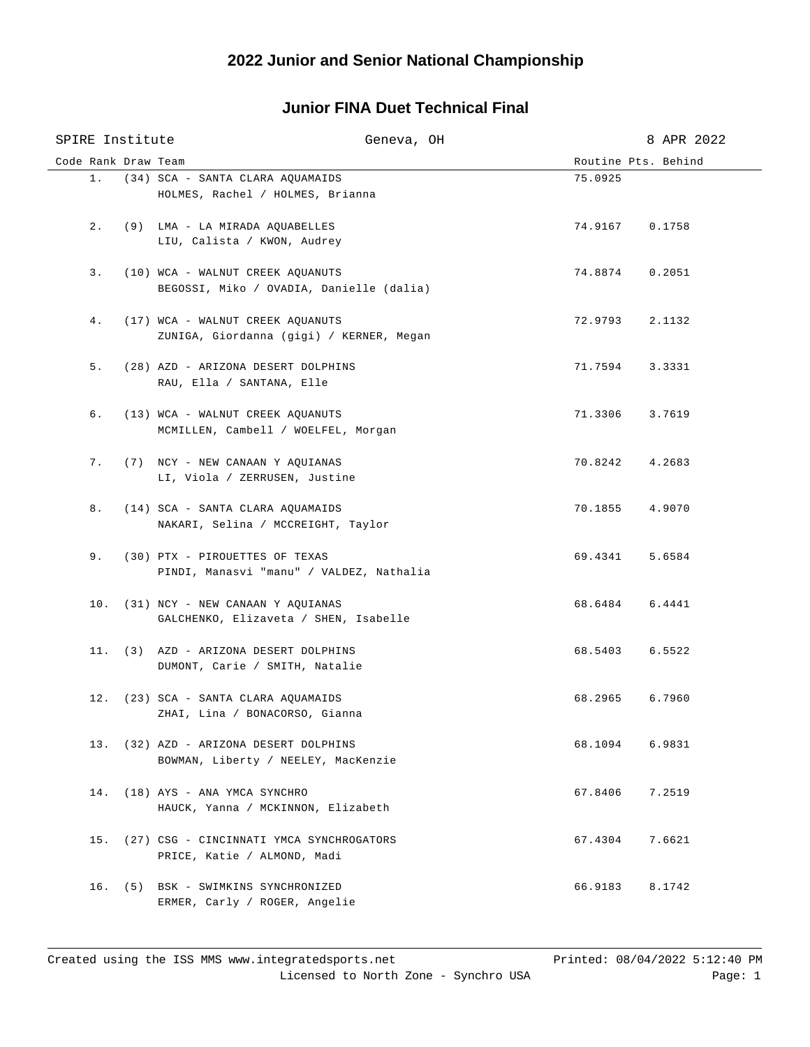## **Junior FINA Duet Technical Final**

| SPIRE Institute     |  | Geneva, OH                                                                    |                     | 8 APR 2022 |
|---------------------|--|-------------------------------------------------------------------------------|---------------------|------------|
| Code Rank Draw Team |  |                                                                               | Routine Pts. Behind |            |
|                     |  | 1. (34) SCA - SANTA CLARA AQUAMAIDS<br>HOLMES, Rachel / HOLMES, Brianna       | 75.0925             |            |
| 2.                  |  | (9) LMA - LA MIRADA AQUABELLES<br>LIU, Calista / KWON, Audrey                 | 74.9167             | 0.1758     |
| 3.                  |  | (10) WCA - WALNUT CREEK AQUANUTS<br>BEGOSSI, Miko / OVADIA, Danielle (dalia)  | 74.8874             | 0.2051     |
| 4.                  |  | (17) WCA - WALNUT CREEK AQUANUTS<br>ZUNIGA, Giordanna (gigi) / KERNER, Megan  | 72.9793             | 2.1132     |
| 5.                  |  | (28) AZD - ARIZONA DESERT DOLPHINS<br>RAU, Ella / SANTANA, Elle               | 71.7594             | 3.3331     |
| б.                  |  | (13) WCA - WALNUT CREEK AQUANUTS<br>MCMILLEN, Cambell / WOELFEL, Morgan       | 71.3306             | 3.7619     |
| 7.                  |  | (7) NCY - NEW CANAAN Y AQUIANAS<br>LI, Viola / ZERRUSEN, Justine              | 70.8242             | 4.2683     |
| 8.                  |  | (14) SCA - SANTA CLARA AQUAMAIDS<br>NAKARI, Selina / MCCREIGHT, Taylor        | 70.1855             | 4.9070     |
| 9.                  |  | (30) PTX - PIROUETTES OF TEXAS<br>PINDI, Manasvi "manu" / VALDEZ, Nathalia    | 69.4341             | 5.6584     |
|                     |  | 10. (31) NCY - NEW CANAAN Y AQUIANAS<br>GALCHENKO, Elizaveta / SHEN, Isabelle | 68.6484             | 6.4441     |
|                     |  | 11. (3) AZD - ARIZONA DESERT DOLPHINS<br>DUMONT, Carie / SMITH, Natalie       | 68.5403             | 6.5522     |
|                     |  | 12. (23) SCA - SANTA CLARA AQUAMAIDS<br>ZHAI, Lina / BONACORSO, Gianna        | 68.2965             | 6.7960     |
|                     |  | 13. (32) AZD - ARIZONA DESERT DOLPHINS<br>BOWMAN, Liberty / NEELEY, MacKenzie | 68.1094             | 6.9831     |
| 14.                 |  | (18) AYS - ANA YMCA SYNCHRO<br>HAUCK, Yanna / MCKINNON, Elizabeth             | 67.8406             | 7.2519     |
| 15.                 |  | (27) CSG - CINCINNATI YMCA SYNCHROGATORS<br>PRICE, Katie / ALMOND, Madi       | 67.4304             | 7.6621     |
|                     |  | 16. (5) BSK - SWIMKINS SYNCHRONIZED<br>ERMER, Carly / ROGER, Angelie          | 66.9183             | 8.1742     |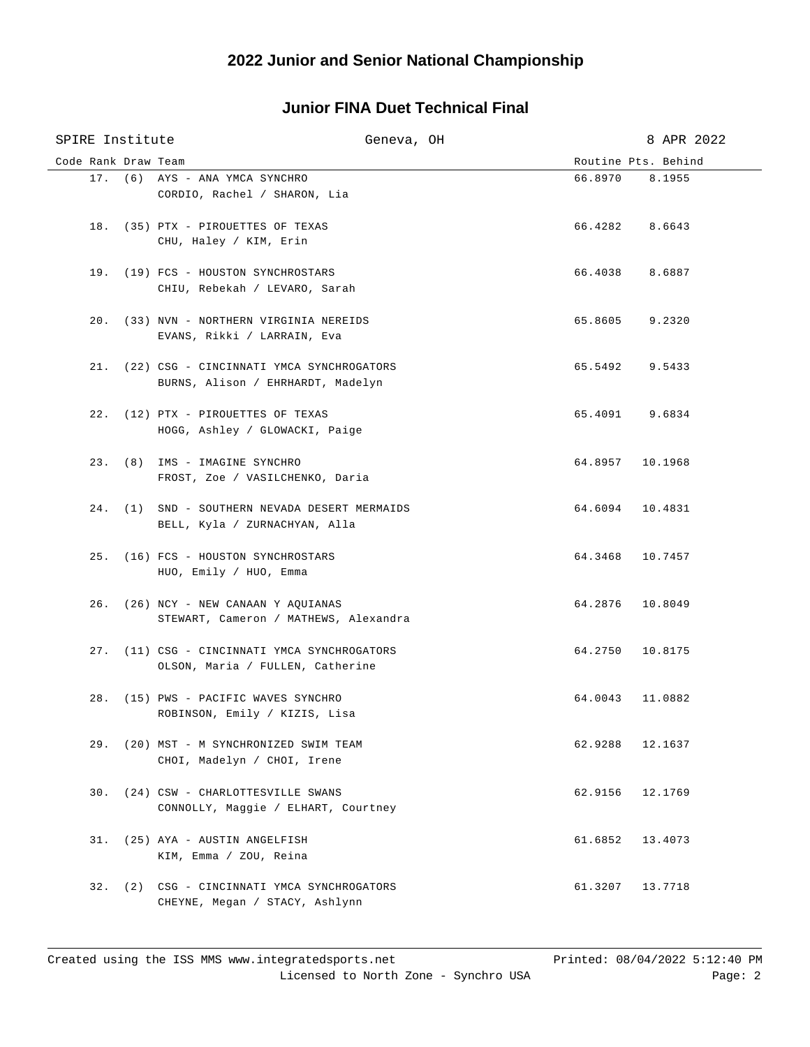## **Junior FINA Duet Technical Final**

| SPIRE Institute     |  | Geneva, OH                                                                  |                     | 8 APR 2022 |
|---------------------|--|-----------------------------------------------------------------------------|---------------------|------------|
| Code Rank Draw Team |  |                                                                             | Routine Pts. Behind |            |
|                     |  | 17. (6) AYS - ANA YMCA SYNCHRO                                              | 66.8970 8.1955      |            |
|                     |  | CORDIO, Rachel / SHARON, Lia                                                |                     |            |
|                     |  |                                                                             |                     |            |
|                     |  | 18. (35) PTX - PIROUETTES OF TEXAS<br>CHU, Haley / KIM, Erin                | 66.4282 8.6643      |            |
|                     |  |                                                                             |                     |            |
|                     |  | 19. (19) FCS - HOUSTON SYNCHROSTARS                                         | 66.4038 8.6887      |            |
|                     |  | CHIU, Rebekah / LEVARO, Sarah                                               |                     |            |
|                     |  |                                                                             |                     |            |
|                     |  | 20. (33) NVN - NORTHERN VIRGINIA NEREIDS                                    | 65.8605 9.2320      |            |
|                     |  | EVANS, Rikki / LARRAIN, Eva                                                 |                     |            |
|                     |  | 21. (22) CSG - CINCINNATI YMCA SYNCHROGATORS                                | 65.5492 9.5433      |            |
|                     |  | BURNS, Alison / EHRHARDT, Madelyn                                           |                     |            |
|                     |  |                                                                             |                     |            |
|                     |  | 22. (12) PTX - PIROUETTES OF TEXAS                                          | 65.4091 9.6834      |            |
|                     |  | HOGG, Ashley / GLOWACKI, Paige                                              |                     |            |
|                     |  |                                                                             |                     |            |
|                     |  | 23. (8) IMS - IMAGINE SYNCHRO<br>FROST, Zoe / VASILCHENKO, Daria            | 64.8957 10.1968     |            |
|                     |  |                                                                             |                     |            |
|                     |  | 24. (1) SND - SOUTHERN NEVADA DESERT MERMAIDS                               | 64.6094 10.4831     |            |
|                     |  | BELL, Kyla / ZURNACHYAN, Alla                                               |                     |            |
|                     |  |                                                                             |                     |            |
|                     |  | 25. (16) FCS - HOUSTON SYNCHROSTARS                                         | 64.3468 10.7457     |            |
|                     |  | HUO, Emily / HUO, Emma                                                      |                     |            |
|                     |  | 26. (26) NCY - NEW CANAAN Y AQUIANAS                                        | 64.2876 10.8049     |            |
|                     |  | STEWART, Cameron / MATHEWS, Alexandra                                       |                     |            |
|                     |  |                                                                             |                     |            |
|                     |  | 27. (11) CSG - CINCINNATI YMCA SYNCHROGATORS                                | 64.2750 10.8175     |            |
|                     |  | OLSON, Maria / FULLEN, Catherine                                            |                     |            |
|                     |  | 28. (15) PWS - PACIFIC WAVES SYNCHRO                                        | 64.0043             | 11.0882    |
|                     |  | ROBINSON, Emily / KIZIS, Lisa                                               |                     |            |
|                     |  |                                                                             |                     |            |
|                     |  | 29. (20) MST - M SYNCHRONIZED SWIM TEAM                                     | 62.9288             | 12.1637    |
|                     |  | CHOI, Madelyn / CHOI, Irene                                                 |                     |            |
|                     |  |                                                                             |                     |            |
|                     |  | 30. (24) CSW - CHARLOTTESVILLE SWANS<br>CONNOLLY, Maggie / ELHART, Courtney | 62.9156             | 12.1769    |
|                     |  |                                                                             |                     |            |
| 31.                 |  | (25) AYA - AUSTIN ANGELFISH                                                 | 61.6852             | 13.4073    |
|                     |  | KIM, Emma / ZOU, Reina                                                      |                     |            |
|                     |  |                                                                             |                     |            |
| 32.                 |  | (2) CSG - CINCINNATI YMCA SYNCHROGATORS                                     | 61.3207             | 13.7718    |
|                     |  | CHEYNE, Megan / STACY, Ashlynn                                              |                     |            |